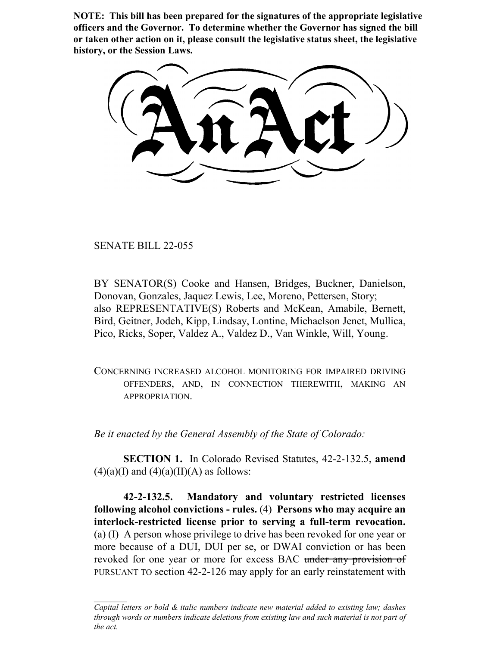**NOTE: This bill has been prepared for the signatures of the appropriate legislative officers and the Governor. To determine whether the Governor has signed the bill or taken other action on it, please consult the legislative status sheet, the legislative history, or the Session Laws.**

SENATE BILL 22-055

BY SENATOR(S) Cooke and Hansen, Bridges, Buckner, Danielson, Donovan, Gonzales, Jaquez Lewis, Lee, Moreno, Pettersen, Story; also REPRESENTATIVE(S) Roberts and McKean, Amabile, Bernett, Bird, Geitner, Jodeh, Kipp, Lindsay, Lontine, Michaelson Jenet, Mullica, Pico, Ricks, Soper, Valdez A., Valdez D., Van Winkle, Will, Young.

CONCERNING INCREASED ALCOHOL MONITORING FOR IMPAIRED DRIVING OFFENDERS, AND, IN CONNECTION THEREWITH, MAKING AN APPROPRIATION.

*Be it enacted by the General Assembly of the State of Colorado:*

**SECTION 1.** In Colorado Revised Statutes, 42-2-132.5, **amend**  $(4)(a)$ (I) and  $(4)(a)$ (II)(A) as follows:

**42-2-132.5. Mandatory and voluntary restricted licenses following alcohol convictions - rules.** (4) **Persons who may acquire an interlock-restricted license prior to serving a full-term revocation.** (a) (I) A person whose privilege to drive has been revoked for one year or more because of a DUI, DUI per se, or DWAI conviction or has been revoked for one year or more for excess BAC under any provision of PURSUANT TO section 42-2-126 may apply for an early reinstatement with

*Capital letters or bold & italic numbers indicate new material added to existing law; dashes through words or numbers indicate deletions from existing law and such material is not part of the act.*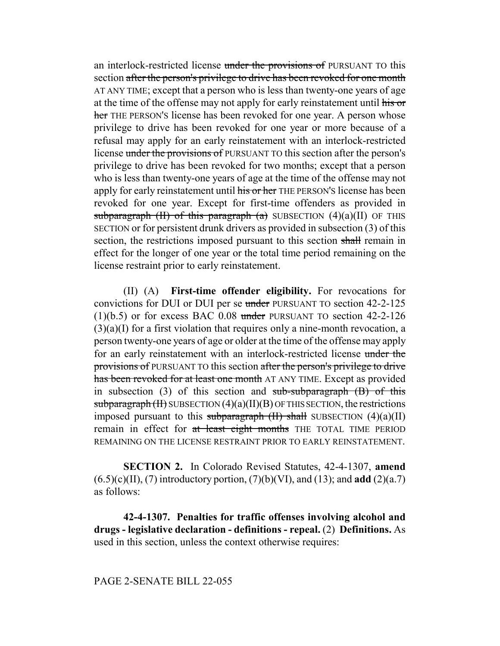an interlock-restricted license under the provisions of PURSUANT TO this section after the person's privilege to drive has been revoked for one month AT ANY TIME; except that a person who is less than twenty-one years of age at the time of the offense may not apply for early reinstatement until his or her THE PERSON's license has been revoked for one year. A person whose privilege to drive has been revoked for one year or more because of a refusal may apply for an early reinstatement with an interlock-restricted license under the provisions of PURSUANT TO this section after the person's privilege to drive has been revoked for two months; except that a person who is less than twenty-one years of age at the time of the offense may not apply for early reinstatement until his or her THE PERSON's license has been revoked for one year. Except for first-time offenders as provided in subparagraph (II) of this paragraph (a) SUBSECTION  $(4)(a)(II)$  OF THIS SECTION or for persistent drunk drivers as provided in subsection (3) of this section, the restrictions imposed pursuant to this section shall remain in effect for the longer of one year or the total time period remaining on the license restraint prior to early reinstatement.

(II) (A) **First-time offender eligibility.** For revocations for convictions for DUI or DUI per se under PURSUANT TO section 42-2-125  $(1)(b.5)$  or for excess BAC 0.08 under PURSUANT TO section 42-2-126  $(3)(a)(I)$  for a first violation that requires only a nine-month revocation, a person twenty-one years of age or older at the time of the offense may apply for an early reinstatement with an interlock-restricted license under the provisions of PURSUANT TO this section after the person's privilege to drive has been revoked for at least one month AT ANY TIME. Except as provided in subsection (3) of this section and sub-subparagraph  $(B)$  of this subparagraph  $(H)$  SUBSECTION  $(4)(a)(II)(B)$  OF THIS SECTION, the restrictions imposed pursuant to this subparagraph  $(H)$  shall SUBSECTION  $(4)(a)(II)$ remain in effect for at least eight months THE TOTAL TIME PERIOD REMAINING ON THE LICENSE RESTRAINT PRIOR TO EARLY REINSTATEMENT.

**SECTION 2.** In Colorado Revised Statutes, 42-4-1307, **amend**  $(6.5)(c)(II)$ , (7) introductory portion, (7)(b)(VI), and (13); and **add** (2)(a.7) as follows:

**42-4-1307. Penalties for traffic offenses involving alcohol and drugs - legislative declaration - definitions - repeal.** (2) **Definitions.** As used in this section, unless the context otherwise requires:

PAGE 2-SENATE BILL 22-055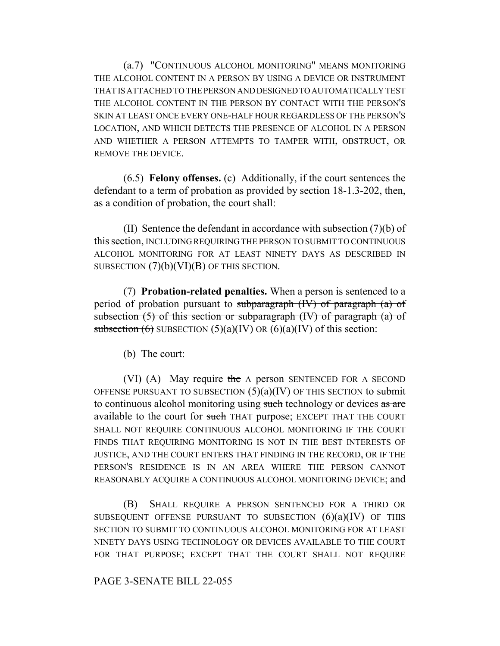(a.7) "CONTINUOUS ALCOHOL MONITORING" MEANS MONITORING THE ALCOHOL CONTENT IN A PERSON BY USING A DEVICE OR INSTRUMENT THAT IS ATTACHED TO THE PERSON AND DESIGNED TO AUTOMATICALLY TEST THE ALCOHOL CONTENT IN THE PERSON BY CONTACT WITH THE PERSON'S SKIN AT LEAST ONCE EVERY ONE-HALF HOUR REGARDLESS OF THE PERSON'S LOCATION, AND WHICH DETECTS THE PRESENCE OF ALCOHOL IN A PERSON AND WHETHER A PERSON ATTEMPTS TO TAMPER WITH, OBSTRUCT, OR REMOVE THE DEVICE.

(6.5) **Felony offenses.** (c) Additionally, if the court sentences the defendant to a term of probation as provided by section 18-1.3-202, then, as a condition of probation, the court shall:

(II) Sentence the defendant in accordance with subsection (7)(b) of this section, INCLUDING REQUIRING THE PERSON TO SUBMIT TO CONTINUOUS ALCOHOL MONITORING FOR AT LEAST NINETY DAYS AS DESCRIBED IN SUBSECTION (7)(b)(VI)(B) OF THIS SECTION.

(7) **Probation-related penalties.** When a person is sentenced to a period of probation pursuant to subparagraph (IV) of paragraph (a) of subsection (5) of this section or subparagraph (IV) of paragraph (a) of subsection  $(6)$  SUBSECTION  $(5)(a)(IV)$  OR  $(6)(a)(IV)$  of this section:

(b) The court:

(VI)  $(A)$  May require the A person SENTENCED FOR A SECOND OFFENSE PURSUANT TO SUBSECTION  $(5)(a)(IV)$  OF THIS SECTION to submit to continuous alcohol monitoring using such technology or devices as are available to the court for such THAT purpose; EXCEPT THAT THE COURT SHALL NOT REQUIRE CONTINUOUS ALCOHOL MONITORING IF THE COURT FINDS THAT REQUIRING MONITORING IS NOT IN THE BEST INTERESTS OF JUSTICE, AND THE COURT ENTERS THAT FINDING IN THE RECORD, OR IF THE PERSON'S RESIDENCE IS IN AN AREA WHERE THE PERSON CANNOT REASONABLY ACQUIRE A CONTINUOUS ALCOHOL MONITORING DEVICE; and

(B) SHALL REQUIRE A PERSON SENTENCED FOR A THIRD OR SUBSEQUENT OFFENSE PURSUANT TO SUBSECTION  $(6)(a)(IV)$  OF THIS SECTION TO SUBMIT TO CONTINUOUS ALCOHOL MONITORING FOR AT LEAST NINETY DAYS USING TECHNOLOGY OR DEVICES AVAILABLE TO THE COURT FOR THAT PURPOSE; EXCEPT THAT THE COURT SHALL NOT REQUIRE

## PAGE 3-SENATE BILL 22-055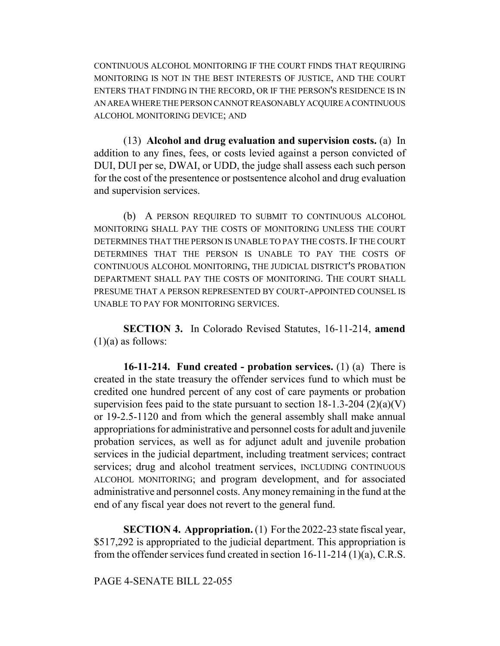CONTINUOUS ALCOHOL MONITORING IF THE COURT FINDS THAT REQUIRING MONITORING IS NOT IN THE BEST INTERESTS OF JUSTICE, AND THE COURT ENTERS THAT FINDING IN THE RECORD, OR IF THE PERSON'S RESIDENCE IS IN AN AREA WHERE THE PERSON CANNOT REASONABLY ACQUIRE A CONTINUOUS ALCOHOL MONITORING DEVICE; AND

(13) **Alcohol and drug evaluation and supervision costs.** (a) In addition to any fines, fees, or costs levied against a person convicted of DUI, DUI per se, DWAI, or UDD, the judge shall assess each such person for the cost of the presentence or postsentence alcohol and drug evaluation and supervision services.

(b) A PERSON REQUIRED TO SUBMIT TO CONTINUOUS ALCOHOL MONITORING SHALL PAY THE COSTS OF MONITORING UNLESS THE COURT DETERMINES THAT THE PERSON IS UNABLE TO PAY THE COSTS. IF THE COURT DETERMINES THAT THE PERSON IS UNABLE TO PAY THE COSTS OF CONTINUOUS ALCOHOL MONITORING, THE JUDICIAL DISTRICT'S PROBATION DEPARTMENT SHALL PAY THE COSTS OF MONITORING. THE COURT SHALL PRESUME THAT A PERSON REPRESENTED BY COURT-APPOINTED COUNSEL IS UNABLE TO PAY FOR MONITORING SERVICES.

**SECTION 3.** In Colorado Revised Statutes, 16-11-214, **amend**  $(1)(a)$  as follows:

**16-11-214. Fund created - probation services.** (1) (a) There is created in the state treasury the offender services fund to which must be credited one hundred percent of any cost of care payments or probation supervision fees paid to the state pursuant to section  $18-1.3-204$  (2)(a)(V) or 19-2.5-1120 and from which the general assembly shall make annual appropriations for administrative and personnel costs for adult and juvenile probation services, as well as for adjunct adult and juvenile probation services in the judicial department, including treatment services; contract services; drug and alcohol treatment services, INCLUDING CONTINUOUS ALCOHOL MONITORING; and program development, and for associated administrative and personnel costs. Any money remaining in the fund at the end of any fiscal year does not revert to the general fund.

**SECTION 4. Appropriation.** (1) For the 2022-23 state fiscal year, \$517,292 is appropriated to the judicial department. This appropriation is from the offender services fund created in section 16-11-214 (1)(a), C.R.S.

PAGE 4-SENATE BILL 22-055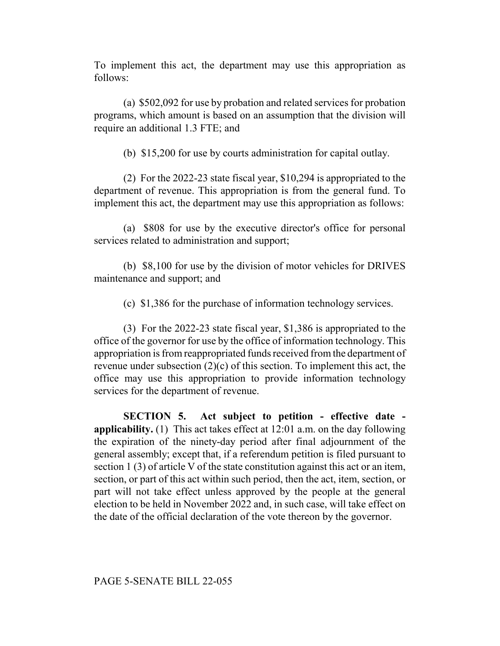To implement this act, the department may use this appropriation as follows:

(a) \$502,092 for use by probation and related services for probation programs, which amount is based on an assumption that the division will require an additional 1.3 FTE; and

(b) \$15,200 for use by courts administration for capital outlay.

(2) For the 2022-23 state fiscal year, \$10,294 is appropriated to the department of revenue. This appropriation is from the general fund. To implement this act, the department may use this appropriation as follows:

(a) \$808 for use by the executive director's office for personal services related to administration and support;

(b) \$8,100 for use by the division of motor vehicles for DRIVES maintenance and support; and

(c) \$1,386 for the purchase of information technology services.

(3) For the 2022-23 state fiscal year, \$1,386 is appropriated to the office of the governor for use by the office of information technology. This appropriation is from reappropriated funds received from the department of revenue under subsection (2)(c) of this section. To implement this act, the office may use this appropriation to provide information technology services for the department of revenue.

**SECTION 5. Act subject to petition - effective date applicability.** (1) This act takes effect at 12:01 a.m. on the day following the expiration of the ninety-day period after final adjournment of the general assembly; except that, if a referendum petition is filed pursuant to section 1 (3) of article V of the state constitution against this act or an item, section, or part of this act within such period, then the act, item, section, or part will not take effect unless approved by the people at the general election to be held in November 2022 and, in such case, will take effect on the date of the official declaration of the vote thereon by the governor.